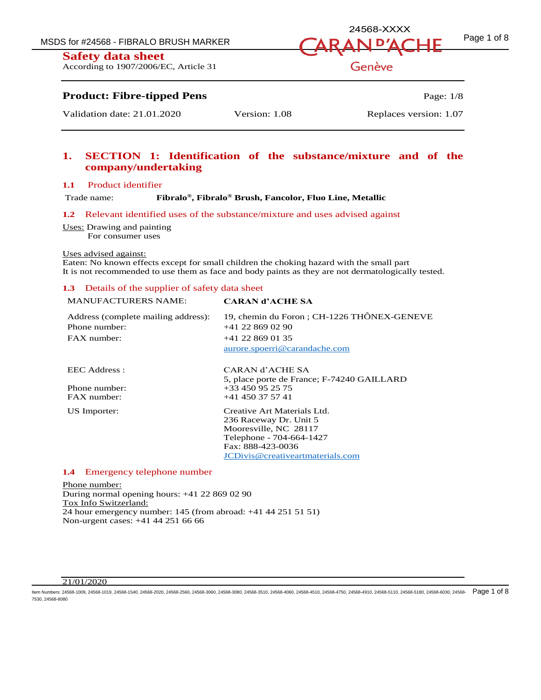**Safety data sheet**

According to 1907/2006/EC, Article 31

## MSDS for #24568 - FIBRALO BRUSH MARKER  $\overline{A} \overline{R} \overline{A} \overline{N} \overline{D'} \overline{A} \overline{C} \overline{H}$   $\overline{F}$   $Page 1 of 8$ 24568-XXXX

Genève

### **Product: Fibre-tipped Pens** Page: 1/8

Validation date: 21.01.2020 Version: 1.08 Replaces version: 1.07

### **1. SECTION 1: Identification of the substance/mixture and of the company/undertaking**

#### **1.1** Product identifier

Trade name:

**, Fibralo® Brush, Fancolor, Fluo Line, Metallic**

#### **1.2** Relevant identified uses of the substance/mixture and uses advised against

Uses: Drawing and painting

For consumer uses

#### Uses advised against:

Eaten: No known effects except for small children the choking hazard with the small part It is not recommended to use them as face and body paints as they are not dermatologically tested.

#### **1.3** Details of the supplier of safety data sheet

#### MANUFACTURERS NAME: **CARAN d'ACHE SA**

| Address (complete mailing address):<br>Phone number:<br>$FAX$ number: | 19, chemin du Foron; CH-1226 THÔNEX-GENEVE<br>$+41$ 22 869 02 90<br>$+41$ 22 869 01 35<br>aurore.spoerri@carandache.com |
|-----------------------------------------------------------------------|-------------------------------------------------------------------------------------------------------------------------|
| EEC Address :                                                         | CARAN d'ACHE SA<br>5, place porte de France; F-74240 GAILLARD                                                           |
| Phone number:                                                         | $+33450952575$                                                                                                          |
| $FAX$ number:                                                         | $+41$ 450 37 57 41                                                                                                      |
| US Importer:                                                          | Creative Art Materials Ltd.                                                                                             |
|                                                                       | 236 Raceway Dr. Unit 5                                                                                                  |
|                                                                       | Mooresville, NC 28117                                                                                                   |
|                                                                       | Telephone - 704-664-1427                                                                                                |
|                                                                       | Fax: 888-423-0036                                                                                                       |
|                                                                       | JCDivis@creativeartmaterials.com                                                                                        |

#### **1.4** Emergency telephone number

Phone number: During normal opening hours: +41 22 869 02 90 Tox Info Switzerland: 24 hour emergency number: 145 (from abroad: +41 44 251 51 51) Non-urgent cases: +41 44 251 66 66

#### 21/01/2020

ltem Numbers: 24568-1009, 24568-1019, 24568-1540, 24568-2020, 24568-2560, 24568-3060, 24568-3510, 24568-4060, 24568-4750, 24568-4750, 24568-4910, 24568-5110, 24568-5180, 24568-5180, 24568-6300, 24568-630, 24568-6310, 24568 7530, 24568-8080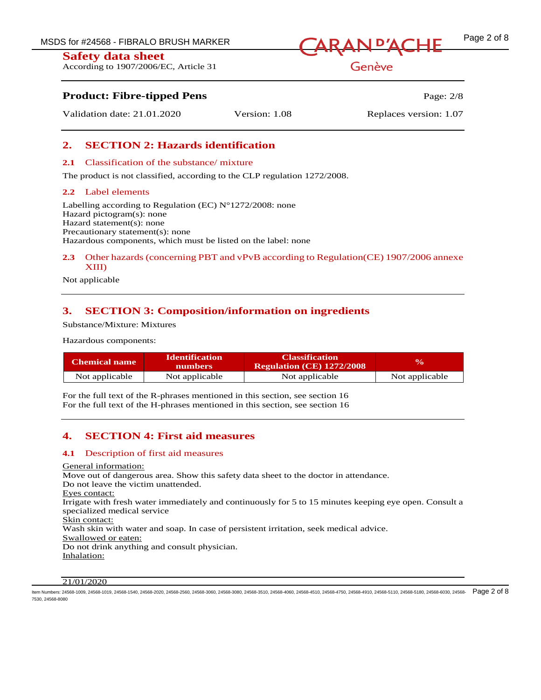MSDS for #24568 - FIBRALO BRUSH MARKER<br>  $\overline{A}$ RAN <sup>D'</sup>ACHF
<sup>Page 2 of 8</sup>

### **Safety data sheet**

According to 1907/2006/EC, Article 31

### **Product: Fibre-tipped Pens** Page: 2/8

Validation date: 21.01.2020 Version: 1.08 Replaces version: 1.07

### **2. SECTION 2: Hazards identification**

#### **2.1** Classification of the substance/ mixture

The product is not classified, according to the CLP regulation 1272/2008.

#### **2.2** Label elements

Labelling according to Regulation (EC)  $N^{\circ}1272/2008$ : none Hazard pictogram(s): none Hazard statement(s): none Precautionary statement(s): none Hazardous components, which must be listed on the label: none

#### **2.3** Other hazards (concerning PBT and vPvB according to Regulation(CE) 1907/2006 annexe XIII)

Not applicable

### **3. SECTION 3: Composition/information on ingredients**

Substance/Mixture: Mixtures

Hazardous components:

| <b>Identification</b><br><b>Chemical name</b><br>numbers |                | <b>Classification</b><br>Regulation (CE) 1272/2008 | $\mathbf{v}_0$ |
|----------------------------------------------------------|----------------|----------------------------------------------------|----------------|
| Not applicable                                           | Not applicable | Not applicable                                     | Not applicable |

For the full text of the R-phrases mentioned in this section, see section 16 For the full text of the H-phrases mentioned in this section, see section 16

### **4. SECTION 4: First aid measures**

#### **4.1** Description of first aid measures

General information: Move out of dangerous area. Show this safety data sheet to the doctor in attendance. Do not leave the victim unattended. Eyes contact: Irrigate with fresh water immediately and continuously for 5 to 15 minutes keeping eye open. Consult a specialized medical service Skin contact: Wash skin with water and soap. In case of persistent irritation, seek medical advice. Swallowed or eaten: Do not drink anything and consult physician. Inhalation:

#### 21/01/2020

ltem Numbers: 24568-1009, 24568-1019, 24568-1540, 24568-2020, 24568-2560, 24568-3060, 24568-3510, 24568-4060, 24568-4750, 24568-4750, 24568-4910, 24568-5110, 24568-5180, 24568-5180, 24568-6300, 24568-630, 24568-630, 24568-7530, 24568-8080

### Genève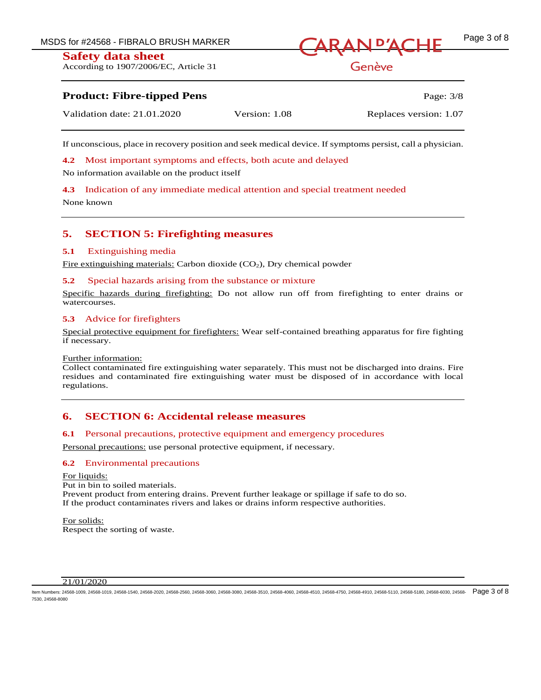MSDS for #24568 - FIBRALO BRUSH MARKER<br>
ARAN <sup>D'</sup>ACHE

## **Safety data sheet**

According to 1907/2006/EC, Article 31

### Genève

### **Product: Fibre-tipped Pens** Page: 3/8

| Validation date: 21.01.2020 | Version: 1.08 | Replaces version: 1.07 |
|-----------------------------|---------------|------------------------|
|                             |               |                        |

If unconscious, place in recovery position and seek medical device. If symptoms persist, call a physician.

**4.2** Most important symptoms and effects, both acute and delayed

No information available on the product itself

**4.3** Indication of any immediate medical attention and special treatment needed

None known

### **5. SECTION 5: Firefighting measures**

#### **5.1** Extinguishing media

Fire extinguishing materials: Carbon dioxide  $(CO<sub>2</sub>)$ , Dry chemical powder

#### **5.2** Special hazards arising from the substance or mixture

Specific hazards during firefighting: Do not allow run off from firefighting to enter drains or watercourses.

#### **5.3** Advice for firefighters

Special protective equipment for firefighters: Wear self-contained breathing apparatus for fire fighting if necessary.

#### Further information:

Collect contaminated fire extinguishing water separately. This must not be discharged into drains. Fire residues and contaminated fire extinguishing water must be disposed of in accordance with local regulations.

### **6. SECTION 6: Accidental release measures**

#### **6.1** Personal precautions, protective equipment and emergency procedures

Personal precautions: use personal protective equipment, if necessary.

#### **6.2** Environmental precautions

For liquids: Put in bin to soiled materials. Prevent product from entering drains. Prevent further leakage or spillage if safe to do so. If the product contaminates rivers and lakes or drains inform respective authorities.

For solids: Respect the sorting of waste.

#### 21/01/2020

ltem Numbers: 24568-1009, 24568-1019, 24568-1540, 24568-2020, 24568-2560, 24568-3060, 24568-3510, 24568-4060, 24568-4750, 24568-4750, 24568-4910, 24568-5110, 24568-5180, 24568-5180, 24568-6300, 24568-630, 24568-630, 24568-7530, 24568-8080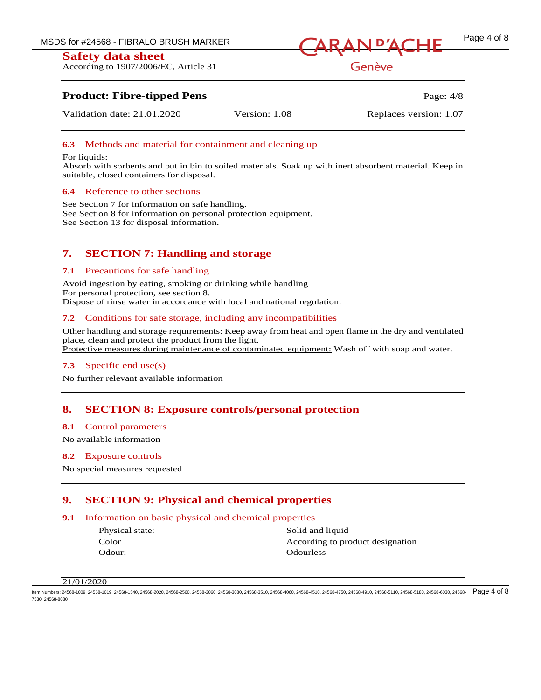**Safety data sheet** According to 1907/2006/EC, Article 31



Genève

### **Product: Fibre-tipped Pens** Page: 4/8

Validation date: 21.01.2020 Version: 1.08 Replaces version: 1.07

#### **6.3** Methods and material for containment and cleaning up

#### For liquids:

Absorb with sorbents and put in bin to soiled materials. Soak up with inert absorbent material. Keep in suitable, closed containers for disposal.

#### **6.4** Reference to other sections

See Section 7 for information on safe handling. See Section 8 for information on personal protection equipment. See Section 13 for disposal information.

### **7. SECTION 7: Handling and storage**

#### **7.1** Precautions for safe handling

Avoid ingestion by eating, smoking or drinking while handling For personal protection, see section 8. Dispose of rinse water in accordance with local and national regulation.

#### **7.2** Conditions for safe storage, including any incompatibilities

Other handling and storage requirements: Keep away from heat and open flame in the dry and ventilated place, clean and protect the product from the light. Protective measures during maintenance of contaminated equipment: Wash off with soap and water.

#### **7.3** Specific end use(s)

No further relevant available information

#### **8. SECTION 8: Exposure controls/personal protection**

#### **8.1** Control parameters

No available information

#### **8.2** Exposure controls

No special measures requested

### **9. SECTION 9: Physical and chemical properties**

#### **9.1** Information on basic physical and chemical properties

Odour: Odourless

Physical state: Solid and liquid Color **According to product designation** 

#### 21/01/2020

ltem Numbers: 24568-1009, 24568-1019, 24568-1540, 24568-2020, 24568-2560, 24568-3060, 24568-3510, 24568-4060, 24568-4750, 24568-4750, 24568-4910, 24568-5110, 24568-5180, 24568-5690, 24568-6030, 24568-68-7530, 24568-8080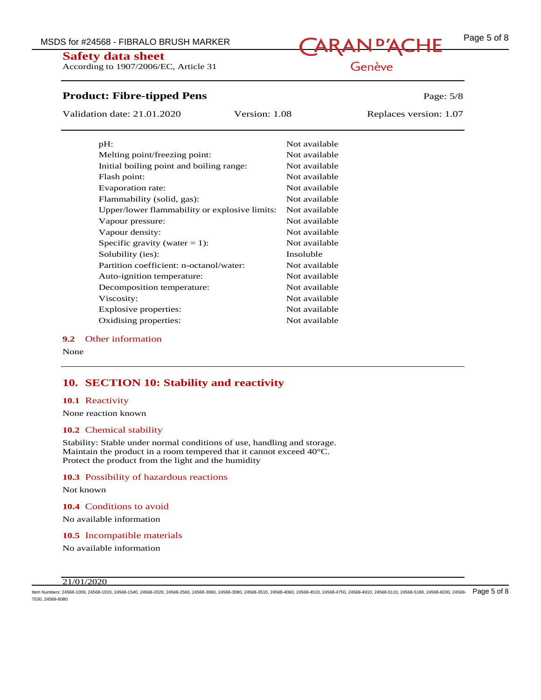MSDS for #24568 - FIBRALO BRUSH MARKER<br>
CARAN <sup>D'</sup>ACHE

**Safety data sheet** According to 1907/2006/EC, Article 31

### **Product: Fibre-tipped Pens** Page: 5/8

Validation date: 21.01.2020 Version: 1.08 Replaces version: 1.07

| $pH$ :                                        | Not available |
|-----------------------------------------------|---------------|
| Melting point/freezing point:                 | Not available |
| Initial boiling point and boiling range:      | Not available |
| Flash point:                                  | Not available |
| Evaporation rate:                             | Not available |
| Flammability (solid, gas):                    | Not available |
| Upper/lower flammability or explosive limits: | Not available |
| Vapour pressure:                              | Not available |
| Vapour density:                               | Not available |
| Specific gravity (water $= 1$ ):              | Not available |
| Solubility (ies):                             | Insoluble     |
| Partition coefficient: n-octanol/water:       | Not available |
| Auto-ignition temperature:                    | Not available |
| Decomposition temperature:                    | Not available |
| Viscosity:                                    | Not available |
| Explosive properties:                         | Not available |
| Oxidising properties:                         | Not available |

#### **9.2** Other information

None

### **10. SECTION 10: Stability and reactivity**

#### **10.1** Reactivity

None reaction known

#### **10.2** Chemical stability

Stability: Stable under normal conditions of use, handling and storage. Maintain the product in a room tempered that it cannot exceed 40°C. Protect the product from the light and the humidity

#### **10.3** Possibility of hazardous reactions

Not known

**10.4** Conditions to avoid

No available information

**10.5** Incompatible materials

No available information

#### 21/01/2020

ltem Numbers: 24568-1009, 24568-1019, 24568-1540, 24568-2020, 24568-2560, 24568-3060, 24568-3510, 24568-4060, 24568-4750, 24568-4750, 24568-4910, 24568-5110, 24568-5180, 24568-5180, 24568-6300, 24568-630, 24568-6310, 24568 7530, 24568-8080

### Genève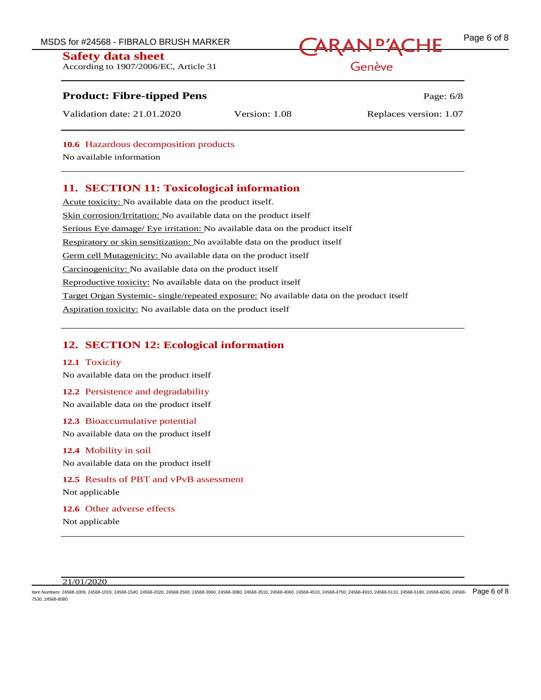### **Safety data sheet**

According to 1907/2006/EC, Article 31

# MSDS for #24568 - FIBRALO BRUSH MARKER<br>
CARAN <sup>D'</sup>ACHE

Genève

### **Product: Fibre-tipped Pens** Page: 6/8

Validation date: 21.01.2020 Version: 1.08 Replaces version: 1.07

**10.6** Hazardous decomposition products

No available information

### **11. SECTION 11: Toxicological information**

Acute toxicity: No available data on the product itself. Skin corrosion/Irritation: No available data on the product itself Serious Eye damage/ Eye irritation: No available data on the product itself Respiratory or skin sensitization: No available data on the product itself Germ cell Mutagenicity: No available data on the product itself Carcinogenicity: No available data on the product itself Reproductive toxicity: No available data on the product itself Target Organ Systemic- single/repeated exposure: No available data on the product itself Aspiration toxicity: No available data on the product itself

### **12. SECTION 12: Ecological information**

#### **12.1** Toxicity

No available data on the product itself

#### **12.2** Persistence and degradability

No available data on the product itself

### **12.3** Bioaccumulative potential No available data on the product itself

#### **12.4** Mobility in soil

No available data on the product itself

### **12.5** Results of PBT and vPvB assessment Not applicable

**12.6** Other adverse effects Not applicable

#### 21/01/2020

ltem Numbers: 24568-1009, 24568-1019, 24568-1540, 24568-2020, 24568-2560, 24568-3060, 24568-3510, 24568-4060, 24568-4750, 24568-4750, 24568-4910, 24568-5110, 24568-5180, 24568-580, 24568-6300, 24568-630, 24568-630, 24568-6 7530, 24568-8080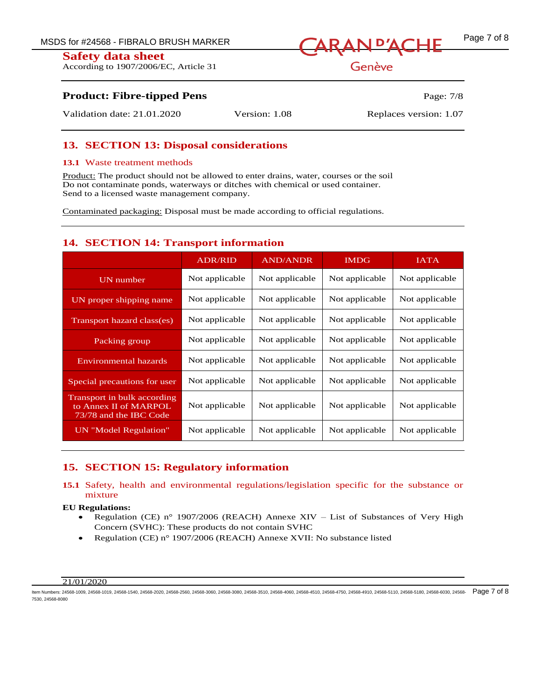**Safety data sheet** According to 1907/2006/EC, Article 31

## MSDS for #24568 - FIBRALO BRUSH MARKER<br>
ARAN P'ACHE

Genève

### **Product: Fibre-tipped Pens** Page: 7/8

Validation date: 21.01.2020 Version: 1.08 Replaces version: 1.07

### **13. SECTION 13: Disposal considerations**

#### **13.1** Waste treatment methods

Product: The product should not be allowed to enter drains, water, courses or the soil Do not contaminate ponds, waterways or ditches with chemical or used container. Send to a licensed waste management company.

Contaminated packaging: Disposal must be made according to official regulations.

### **14. SECTION 14: Transport information**

|                                                                                | <b>ADR/RID</b> | <b>AND/ANDR</b> | <b>IMDG</b>    | <b>IATA</b>    |
|--------------------------------------------------------------------------------|----------------|-----------------|----------------|----------------|
| UN number                                                                      | Not applicable | Not applicable  | Not applicable | Not applicable |
| UN proper shipping name                                                        | Not applicable | Not applicable  | Not applicable | Not applicable |
| Transport hazard class(es)                                                     | Not applicable | Not applicable  | Not applicable | Not applicable |
| Packing group                                                                  | Not applicable | Not applicable  | Not applicable | Not applicable |
| <b>Environmental hazards</b>                                                   | Not applicable | Not applicable  | Not applicable | Not applicable |
| Special precautions for user                                                   | Not applicable | Not applicable  | Not applicable | Not applicable |
| Transport in bulk according<br>to Annex II of MARPOL<br>73/78 and the IBC Code | Not applicable | Not applicable  | Not applicable | Not applicable |
| UN "Model Regulation"                                                          | Not applicable | Not applicable  | Not applicable | Not applicable |

### **15. SECTION 15: Regulatory information**

#### **15.1** Safety, health and environmental regulations/legislation specific for the substance or mixture

#### **EU Regulations:**

- Regulation (CE) n° 1907/2006 (REACH) Annexe XIV List of Substances of Very High Concern (SVHC): These products do not contain SVHC
- Regulation (CE) n° 1907/2006 (REACH) Annexe XVII: No substance listed

#### 21/01/2020

ltem Numbers: 24568-1009, 24568-1019, 24568-1540, 24568-2020, 24568-2560, 24568-3060, 24568-3510, 24568-4060, 24568-4750, 24568-4750, 24568-4910, 24568-5110, 24568-5180, 24568-5180, 24568-6300, 24568-630, 24568-6310, 24568 7530, 24568-8080